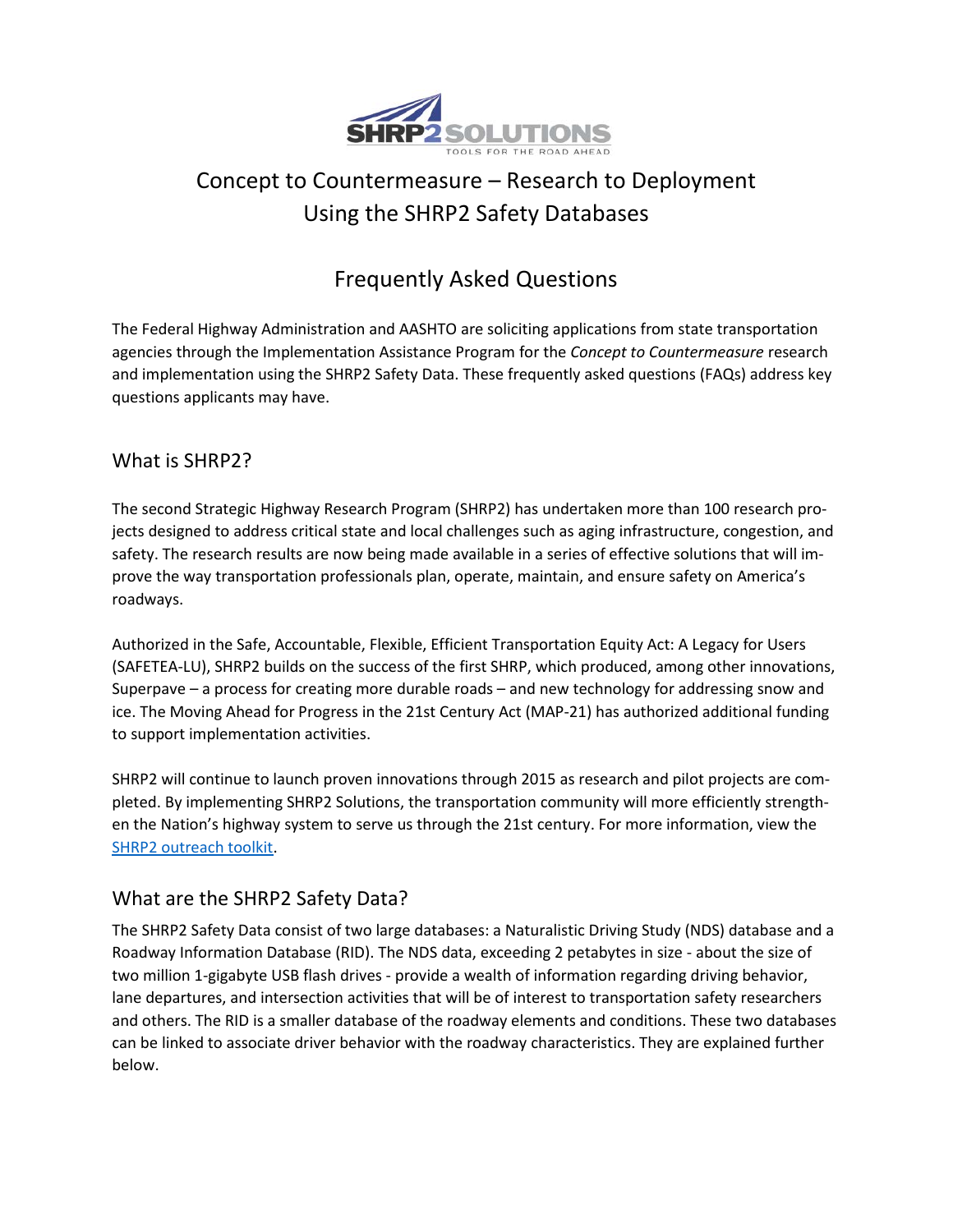

# Concept to Countermeasure – Research to Deployment Using the SHRP2 Safety Databases

# Frequently Asked Questions

The Federal Highway Administration and AASHTO are soliciting applications from state transportation agencies through the Implementation Assistance Program for the *Concept to Countermeasure* research and implementation using the SHRP2 Safety Data. These frequently asked questions (FAQs) address key questions applicants may have.

#### What is SHRP2?

The second Strategic Highway Research Program (SHRP2) has undertaken more than 100 research projects designed to address critical state and local challenges such as aging infrastructure, congestion, and safety. The research results are now being made available in a series of effective solutions that will improve the way transportation professionals plan, operate, maintain, and ensure safety on America's roadways.

Authorized in the Safe, Accountable, Flexible, Efficient Transportation Equity Act: A Legacy for Users (SAFETEA-LU), SHRP2 builds on the success of the first SHRP, which produced, among other innovations, Superpave – a process for creating more durable roads – and new technology for addressing snow and ice. The Moving Ahead for Progress in the 21st Century Act (MAP-21) has authorized additional funding to support implementation activities.

SHRP2 will continue to launch proven innovations through 2015 as research and pilot projects are completed. By implementing SHRP2 Solutions, the transportation community will more efficiently strengthen the Nation's highway system to serve us through the 21st century. For more information, view the [SHRP2 outreach toolkit.](http://www.fhwa.dot.gov/goshrp2/Resources)

#### What are the SHRP2 Safety Data?

The SHRP2 Safety Data consist of two large databases: a Naturalistic Driving Study (NDS) database and a Roadway Information Database (RID). The NDS data, exceeding 2 petabytes in size - about the size of two million 1-gigabyte USB flash drives - provide a wealth of information regarding driving behavior, lane departures, and intersection activities that will be of interest to transportation safety researchers and others. The RID is a smaller database of the roadway elements and conditions. These two databases can be linked to associate driver behavior with the roadway characteristics. They are explained further below.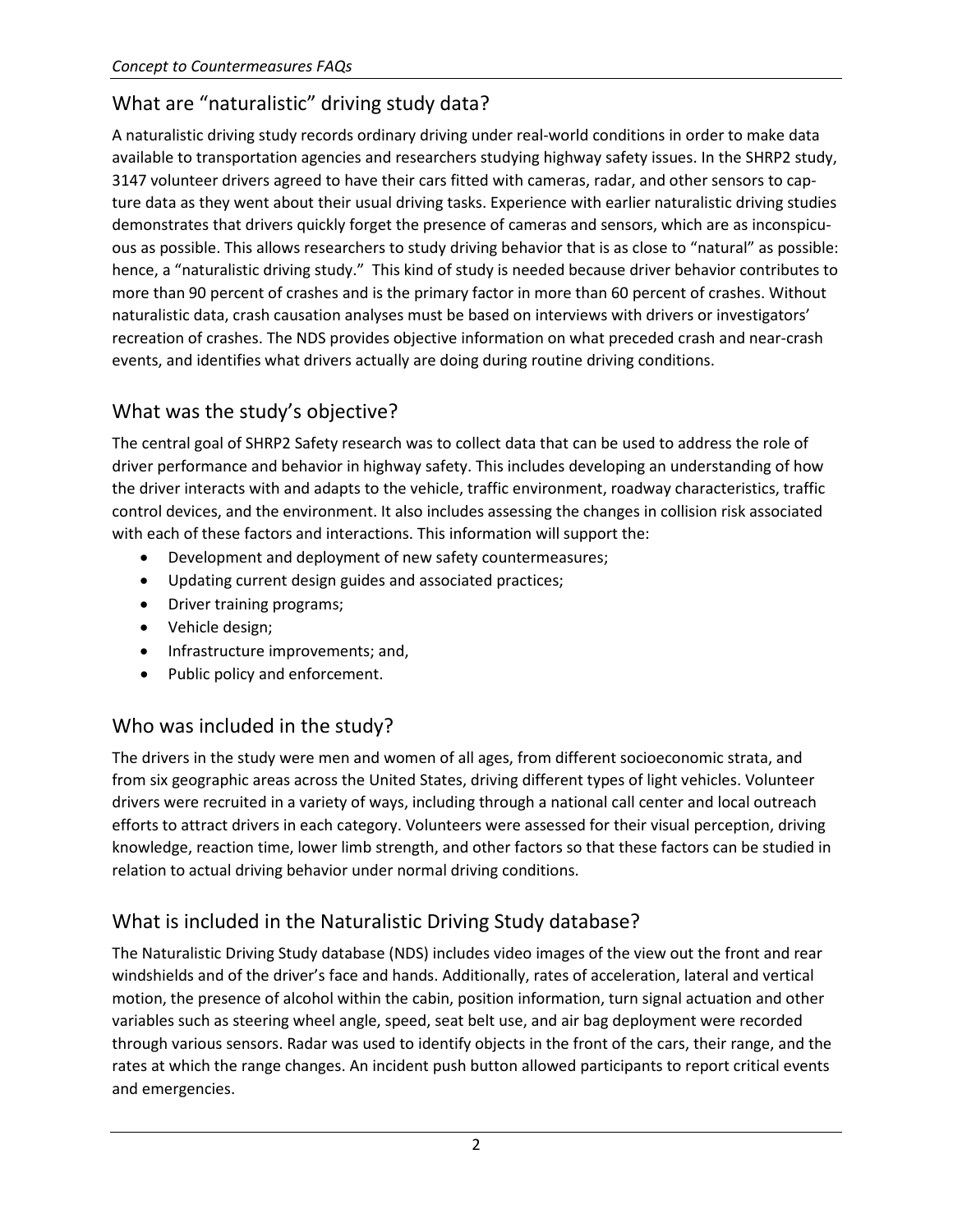### What are "naturalistic" driving study data?

A naturalistic driving study records ordinary driving under real-world conditions in order to make data available to transportation agencies and researchers studying highway safety issues. In the SHRP2 study, 3147 volunteer drivers agreed to have their cars fitted with cameras, radar, and other sensors to capture data as they went about their usual driving tasks. Experience with earlier naturalistic driving studies demonstrates that drivers quickly forget the presence of cameras and sensors, which are as inconspicuous as possible. This allows researchers to study driving behavior that is as close to "natural" as possible: hence, a "naturalistic driving study." This kind of study is needed because driver behavior contributes to more than 90 percent of crashes and is the primary factor in more than 60 percent of crashes. Without naturalistic data, crash causation analyses must be based on interviews with drivers or investigators' recreation of crashes. The NDS provides objective information on what preceded crash and near-crash events, and identifies what drivers actually are doing during routine driving conditions.

# What was the study's objective?

The central goal of SHRP2 Safety research was to collect data that can be used to address the role of driver performance and behavior in highway safety. This includes developing an understanding of how the driver interacts with and adapts to the vehicle, traffic environment, roadway characteristics, traffic control devices, and the environment. It also includes assessing the changes in collision risk associated with each of these factors and interactions. This information will support the:

- Development and deployment of new safety countermeasures;
- Updating current design guides and associated practices;
- Driver training programs;
- Vehicle design;
- Infrastructure improvements; and,
- Public policy and enforcement.

# Who was included in the study?

The drivers in the study were men and women of all ages, from different socioeconomic strata, and from six geographic areas across the United States, driving different types of light vehicles. Volunteer drivers were recruited in a variety of ways, including through a national call center and local outreach efforts to attract drivers in each category. Volunteers were assessed for their visual perception, driving knowledge, reaction time, lower limb strength, and other factors so that these factors can be studied in relation to actual driving behavior under normal driving conditions.

### What is included in the Naturalistic Driving Study database?

The Naturalistic Driving Study database (NDS) includes video images of the view out the front and rear windshields and of the driver's face and hands. Additionally, rates of acceleration, lateral and vertical motion, the presence of alcohol within the cabin, position information, turn signal actuation and other variables such as steering wheel angle, speed, seat belt use, and air bag deployment were recorded through various sensors. Radar was used to identify objects in the front of the cars, their range, and the rates at which the range changes. An incident push button allowed participants to report critical events and emergencies.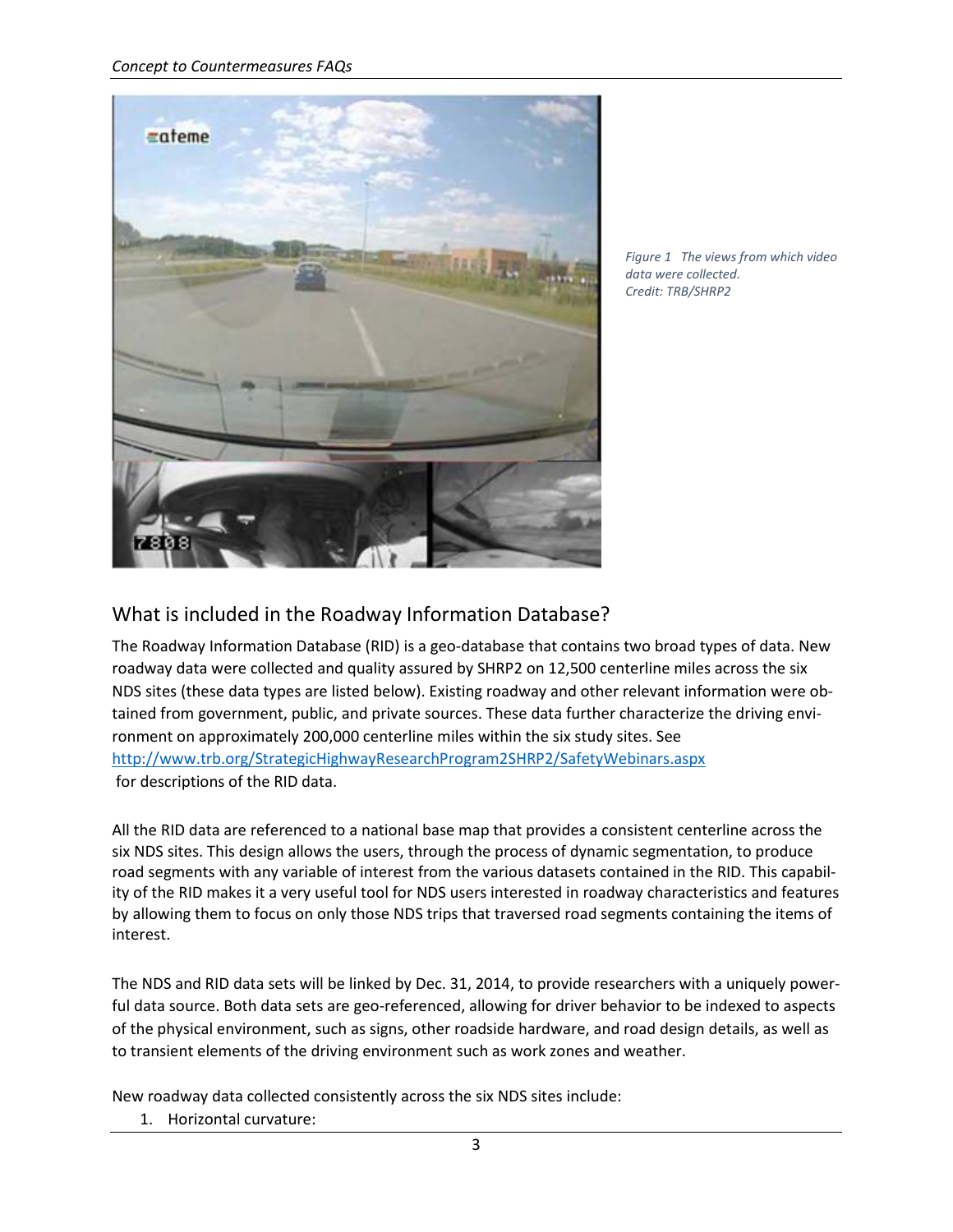

*Figure 1 The views from which video data were collected. Credit: TRB/SHRP2*

#### What is included in the Roadway Information Database?

The Roadway Information Database (RID) is a geo-database that contains two broad types of data. New roadway data were collected and quality assured by SHRP2 on 12,500 centerline miles across the six NDS sites (these data types are listed below). Existing roadway and other relevant information were obtained from government, public, and private sources. These data further characterize the driving environment on approximately 200,000 centerline miles within the six study sites. See <http://www.trb.org/StrategicHighwayResearchProgram2SHRP2/SafetyWebinars.aspx> for descriptions of the RID data.

All the RID data are referenced to a national base map that provides a consistent centerline across the six NDS sites. This design allows the users, through the process of dynamic segmentation, to produce road segments with any variable of interest from the various datasets contained in the RID. This capability of the RID makes it a very useful tool for NDS users interested in roadway characteristics and features by allowing them to focus on only those NDS trips that traversed road segments containing the items of interest.

The NDS and RID data sets will be linked by Dec. 31, 2014, to provide researchers with a uniquely powerful data source. Both data sets are geo-referenced, allowing for driver behavior to be indexed to aspects of the physical environment, such as signs, other roadside hardware, and road design details, as well as to transient elements of the driving environment such as work zones and weather.

New roadway data collected consistently across the six NDS sites include:

1. Horizontal curvature: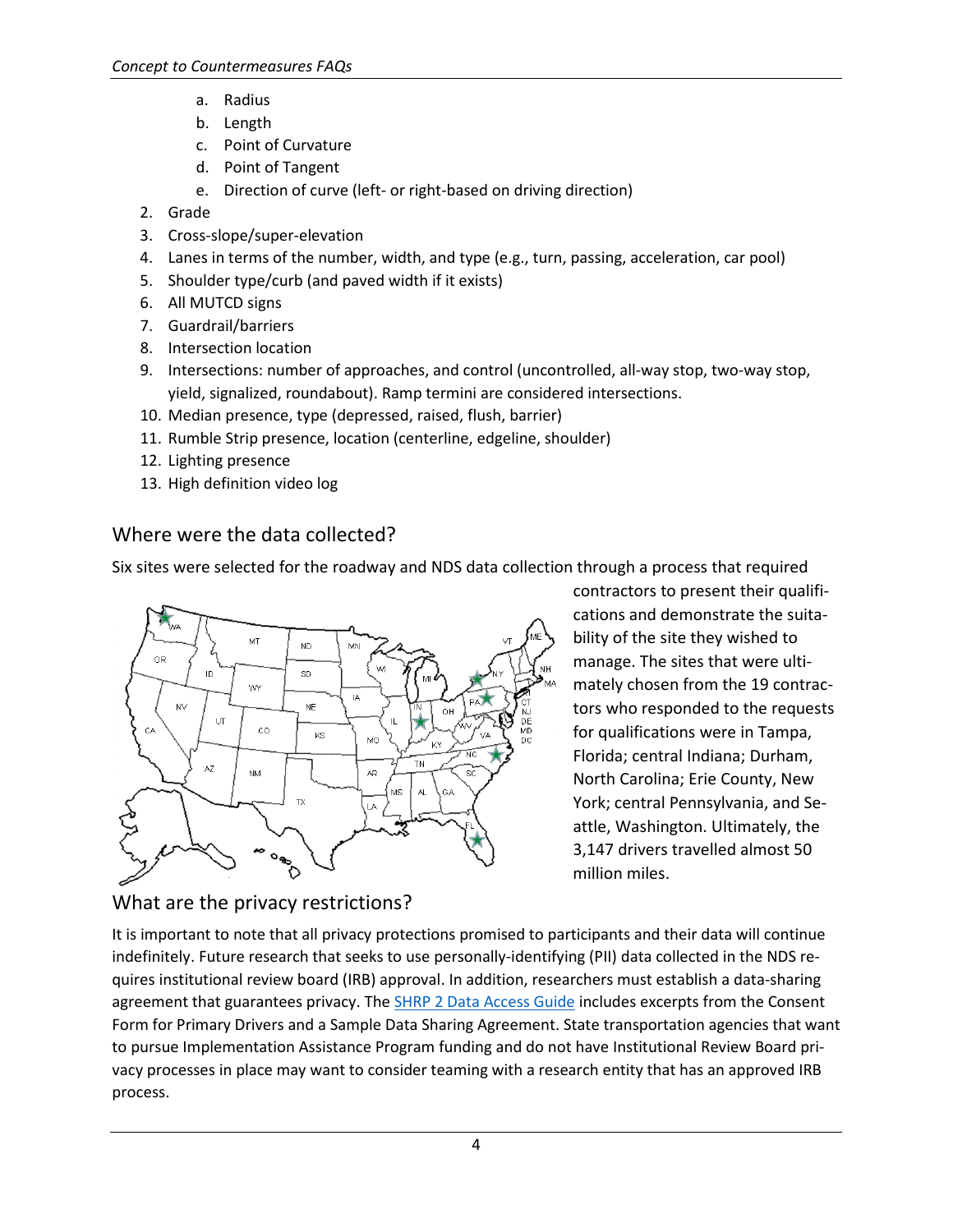- a. Radius
- b. Length
- c. Point of Curvature
- d. Point of Tangent
- e. Direction of curve (left- or right-based on driving direction)
- 2. Grade
- 3. Cross-slope/super-elevation
- 4. Lanes in terms of the number, width, and type (e.g., turn, passing, acceleration, car pool)
- 5. Shoulder type/curb (and paved width if it exists)
- 6. All MUTCD signs
- 7. Guardrail/barriers
- 8. Intersection location
- 9. Intersections: number of approaches, and control (uncontrolled, all-way stop, two-way stop, yield, signalized, roundabout). Ramp termini are considered intersections.
- 10. Median presence, type (depressed, raised, flush, barrier)
- 11. Rumble Strip presence, location (centerline, edgeline, shoulder)
- 12. Lighting presence
- 13. High definition video log

# Where were the data collected?

Six sites were selected for the roadway and NDS data collection through a process that required



contractors to present their qualifications and demonstrate the suitability of the site they wished to manage. The sites that were ultimately chosen from the 19 contractors who responded to the requests for qualifications were in Tampa, Florida; central Indiana; Durham, North Carolina; Erie County, New York; central Pennsylvania, and Seattle, Washington. Ultimately, the 3,147 drivers travelled almost 50 million miles.

# What are the privacy restrictions?

It is important to note that all privacy protections promised to participants and their data will continue indefinitely. Future research that seeks to use personally-identifying (PII) data collected in the NDS requires institutional review board (IRB) approval. In addition, researchers must establish a data-sharing agreement that guarantees privacy. The [SHRP 2 Data Access Guide](http://onlinepubs.trb.org/onlinepubs/shrp2/DATA_ACCESS_GUIDE-Dec2010.pdf) includes excerpts from the Consent Form for Primary Drivers and a Sample Data Sharing Agreement. State transportation agencies that want to pursue Implementation Assistance Program funding and do not have Institutional Review Board privacy processes in place may want to consider teaming with a research entity that has an approved IRB process.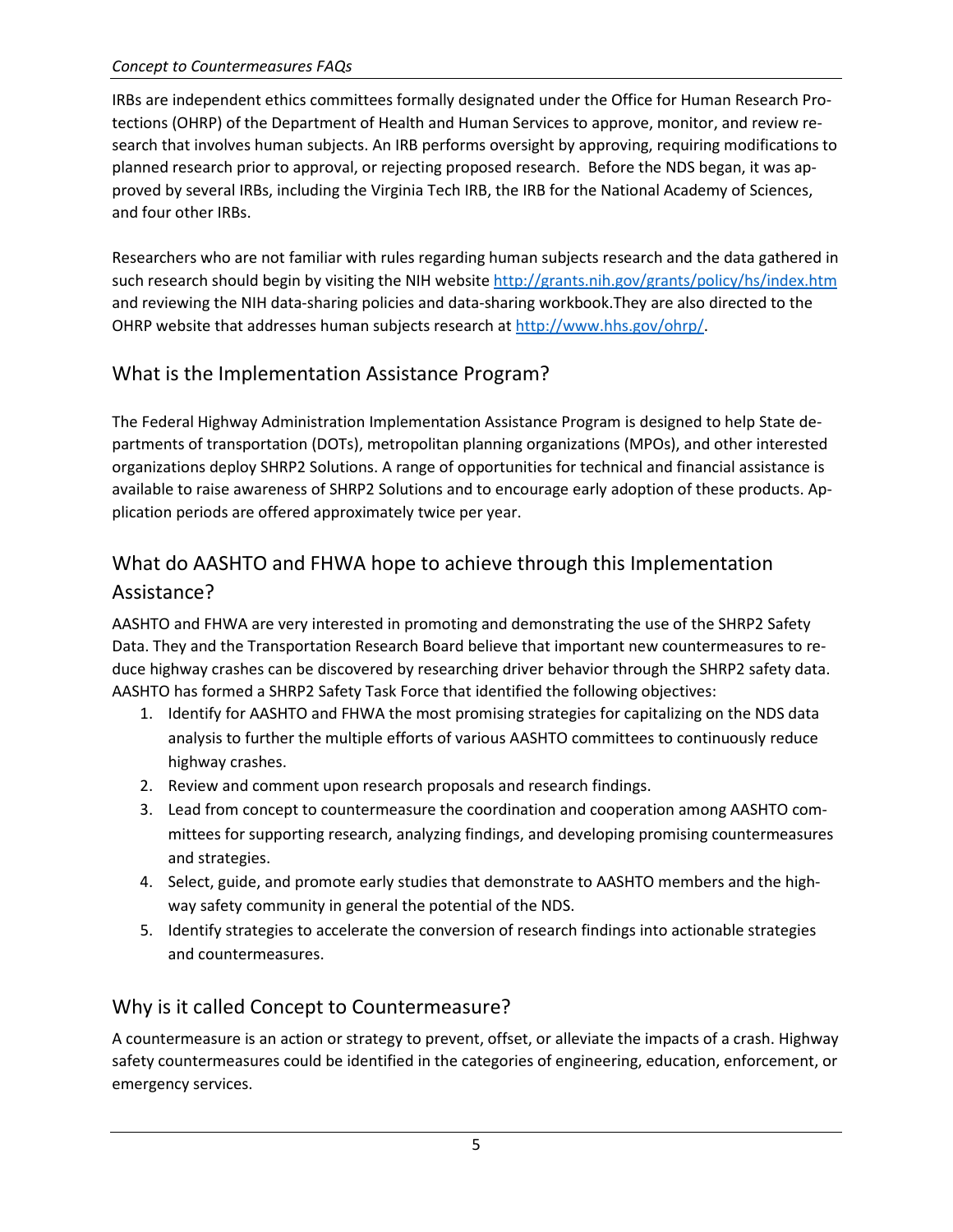IRBs are independent ethics committees formally designated under the Office for Human Research Protections (OHRP) of the Department of Health and Human Services to approve, monitor, and review research that involves human subjects. An IRB performs oversight by approving, requiring modifications to planned research prior to approval, or rejecting proposed research. Before the NDS began, it was approved by several IRBs, including the Virginia Tech IRB, the IRB for the National Academy of Sciences, and four other IRBs.

Researchers who are not familiar with rules regarding human subjects research and the data gathered in such research should begin by visiting the NIH website<http://grants.nih.gov/grants/policy/hs/index.htm> and reviewing the NIH data-sharing policies and data-sharing workbook.They are also directed to the OHRP website that addresses human subjects research at [http://www.hhs.gov/ohrp/.](http://www.hhs.gov/ohrp/)

### What is the Implementation Assistance Program?

The Federal Highway Administration Implementation Assistance Program is designed to help State departments of transportation (DOTs), metropolitan planning organizations (MPOs), and other interested organizations deploy SHRP2 Solutions. A range of opportunities for technical and financial assistance is available to raise awareness of SHRP2 Solutions and to encourage early adoption of these products. Application periods are offered approximately twice per year.

# What do AASHTO and FHWA hope to achieve through this Implementation Assistance?

AASHTO and FHWA are very interested in promoting and demonstrating the use of the SHRP2 Safety Data. They and the Transportation Research Board believe that important new countermeasures to reduce highway crashes can be discovered by researching driver behavior through the SHRP2 safety data. AASHTO has formed a SHRP2 Safety Task Force that identified the following objectives:

- 1. Identify for AASHTO and FHWA the most promising strategies for capitalizing on the NDS data analysis to further the multiple efforts of various AASHTO committees to continuously reduce highway crashes.
- 2. Review and comment upon research proposals and research findings.
- 3. Lead from concept to countermeasure the coordination and cooperation among AASHTO committees for supporting research, analyzing findings, and developing promising countermeasures and strategies.
- 4. Select, guide, and promote early studies that demonstrate to AASHTO members and the highway safety community in general the potential of the NDS.
- 5. Identify strategies to accelerate the conversion of research findings into actionable strategies and countermeasures.

### Why is it called Concept to Countermeasure?

A countermeasure is an action or strategy to prevent, offset, or alleviate the impacts of a crash. Highway safety countermeasures could be identified in the categories of engineering, education, enforcement, or emergency services.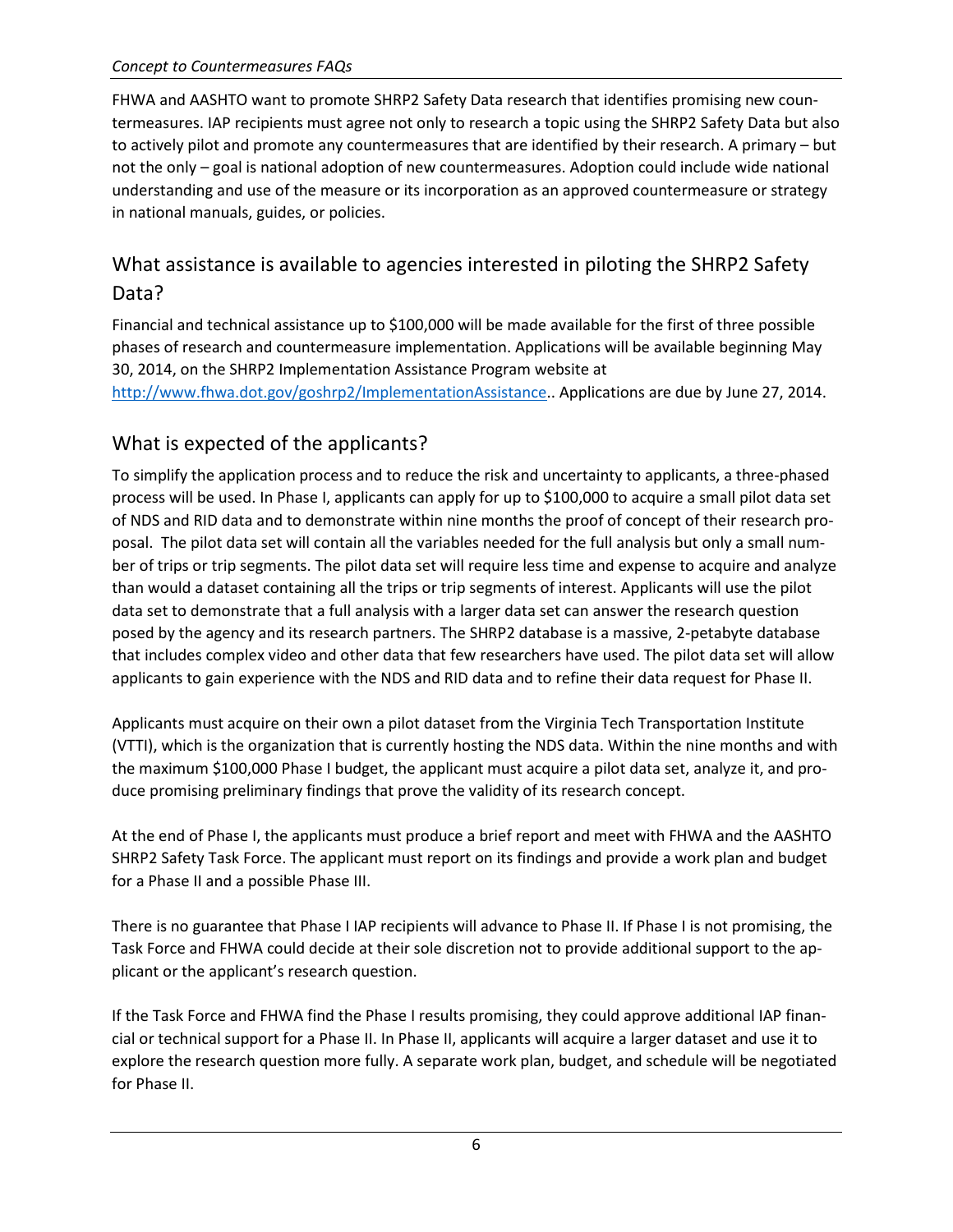FHWA and AASHTO want to promote SHRP2 Safety Data research that identifies promising new countermeasures. IAP recipients must agree not only to research a topic using the SHRP2 Safety Data but also to actively pilot and promote any countermeasures that are identified by their research. A primary – but not the only – goal is national adoption of new countermeasures. Adoption could include wide national understanding and use of the measure or its incorporation as an approved countermeasure or strategy in national manuals, guides, or policies.

### What assistance is available to agencies interested in piloting the SHRP2 Safety Data?

Financial and technical assistance up to \$100,000 will be made available for the first of three possible phases of research and countermeasure implementation. Applications will be available beginning May 30, 2014, on the SHRP2 Implementation Assistance Program website at [http://www.fhwa.dot.gov/goshrp2/ImplementationAssistance.](http://www.fhwa.dot.gov/goshrp2/ImplementationAssistance). Applications are due by June 27, 2014.

### What is expected of the applicants?

To simplify the application process and to reduce the risk and uncertainty to applicants, a three-phased process will be used. In Phase I, applicants can apply for up to \$100,000 to acquire a small pilot data set of NDS and RID data and to demonstrate within nine months the proof of concept of their research proposal. The pilot data set will contain all the variables needed for the full analysis but only a small number of trips or trip segments. The pilot data set will require less time and expense to acquire and analyze than would a dataset containing all the trips or trip segments of interest. Applicants will use the pilot data set to demonstrate that a full analysis with a larger data set can answer the research question posed by the agency and its research partners. The SHRP2 database is a massive, 2-petabyte database that includes complex video and other data that few researchers have used. The pilot data set will allow applicants to gain experience with the NDS and RID data and to refine their data request for Phase II.

Applicants must acquire on their own a pilot dataset from the Virginia Tech Transportation Institute (VTTI), which is the organization that is currently hosting the NDS data. Within the nine months and with the maximum \$100,000 Phase I budget, the applicant must acquire a pilot data set, analyze it, and produce promising preliminary findings that prove the validity of its research concept.

At the end of Phase I, the applicants must produce a brief report and meet with FHWA and the AASHTO SHRP2 Safety Task Force. The applicant must report on its findings and provide a work plan and budget for a Phase II and a possible Phase III.

There is no guarantee that Phase I IAP recipients will advance to Phase II. If Phase I is not promising, the Task Force and FHWA could decide at their sole discretion not to provide additional support to the applicant or the applicant's research question.

If the Task Force and FHWA find the Phase I results promising, they could approve additional IAP financial or technical support for a Phase II. In Phase II, applicants will acquire a larger dataset and use it to explore the research question more fully. A separate work plan, budget, and schedule will be negotiated for Phase II.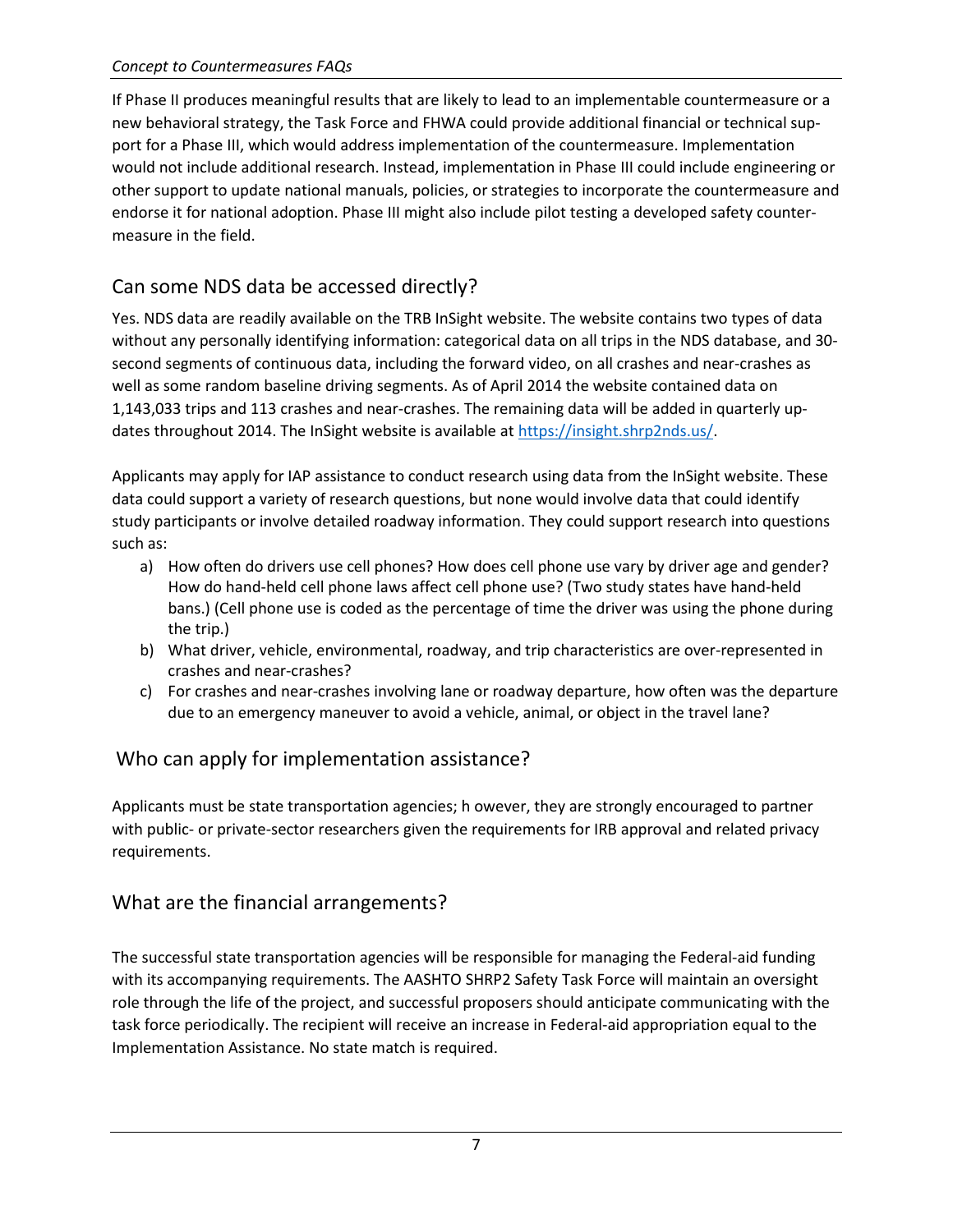If Phase II produces meaningful results that are likely to lead to an implementable countermeasure or a new behavioral strategy, the Task Force and FHWA could provide additional financial or technical support for a Phase III, which would address implementation of the countermeasure. Implementation would not include additional research. Instead, implementation in Phase III could include engineering or other support to update national manuals, policies, or strategies to incorporate the countermeasure and endorse it for national adoption. Phase III might also include pilot testing a developed safety countermeasure in the field.

# Can some NDS data be accessed directly?

Yes. NDS data are readily available on the TRB InSight website. The website contains two types of data without any personally identifying information: categorical data on all trips in the NDS database, and 30 second segments of continuous data, including the forward video, on all crashes and near-crashes as well as some random baseline driving segments. As of April 2014 the website contained data on 1,143,033 trips and 113 crashes and near-crashes. The remaining data will be added in quarterly updates throughout 2014. The InSight website is available at [https://insight.shrp2nds.us/.](https://insight.shrp2nds.us/)

Applicants may apply for IAP assistance to conduct research using data from the InSight website. These data could support a variety of research questions, but none would involve data that could identify study participants or involve detailed roadway information. They could support research into questions such as:

- a) How often do drivers use cell phones? How does cell phone use vary by driver age and gender? How do hand-held cell phone laws affect cell phone use? (Two study states have hand-held bans.) (Cell phone use is coded as the percentage of time the driver was using the phone during the trip.)
- b) What driver, vehicle, environmental, roadway, and trip characteristics are over-represented in crashes and near-crashes?
- c) For crashes and near-crashes involving lane or roadway departure, how often was the departure due to an emergency maneuver to avoid a vehicle, animal, or object in the travel lane?

### Who can apply for implementation assistance?

Applicants must be state transportation agencies; h owever, they are strongly encouraged to partner with public- or private-sector researchers given the requirements for IRB approval and related privacy requirements.

#### What are the financial arrangements?

The successful state transportation agencies will be responsible for managing the Federal-aid funding with its accompanying requirements. The AASHTO SHRP2 Safety Task Force will maintain an oversight role through the life of the project, and successful proposers should anticipate communicating with the task force periodically. The recipient will receive an increase in Federal-aid appropriation equal to the Implementation Assistance. No state match is required.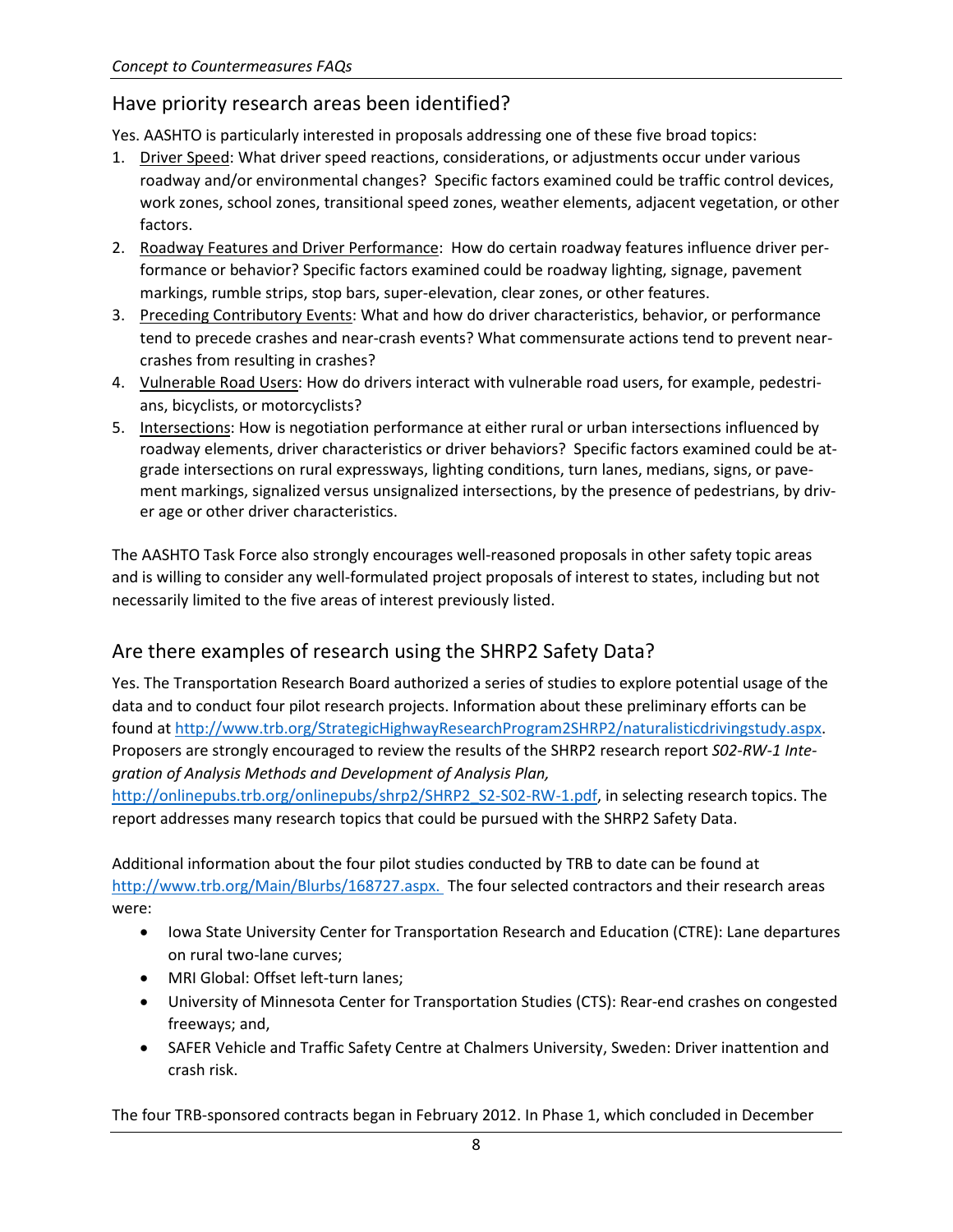#### Have priority research areas been identified?

Yes. AASHTO is particularly interested in proposals addressing one of these five broad topics:

- 1. Driver Speed: What driver speed reactions, considerations, or adjustments occur under various roadway and/or environmental changes? Specific factors examined could be traffic control devices, work zones, school zones, transitional speed zones, weather elements, adjacent vegetation, or other factors.
- 2. Roadway Features and Driver Performance: How do certain roadway features influence driver performance or behavior? Specific factors examined could be roadway lighting, signage, pavement markings, rumble strips, stop bars, super-elevation, clear zones, or other features.
- 3. Preceding Contributory Events: What and how do driver characteristics, behavior, or performance tend to precede crashes and near-crash events? What commensurate actions tend to prevent nearcrashes from resulting in crashes?
- 4. Vulnerable Road Users: How do drivers interact with vulnerable road users, for example, pedestrians, bicyclists, or motorcyclists?
- 5. Intersections: How is negotiation performance at either rural or urban intersections influenced by roadway elements, driver characteristics or driver behaviors? Specific factors examined could be atgrade intersections on rural expressways, lighting conditions, turn lanes, medians, signs, or pavement markings, signalized versus unsignalized intersections, by the presence of pedestrians, by driver age or other driver characteristics.

The AASHTO Task Force also strongly encourages well-reasoned proposals in other safety topic areas and is willing to consider any well-formulated project proposals of interest to states, including but not necessarily limited to the five areas of interest previously listed.

#### Are there examples of research using the SHRP2 Safety Data?

Yes. The Transportation Research Board authorized a series of studies to explore potential usage of the data and to conduct four pilot research projects. Information about these preliminary efforts can be found at [http://www.trb.org/StrategicHighwayResearchProgram2SHRP2/naturalisticdrivingstudy.aspx.](http://www.trb.org/StrategicHighwayResearchProgram2SHRP2/naturalisticdrivingstudy.aspx) Proposers are strongly encouraged to review the results of the SHRP2 research report *S02-RW-1 Integration of Analysis Methods and Development of Analysis Plan,*

[http://onlinepubs.trb.org/onlinepubs/shrp2/SHRP2\\_S2-S02-RW-1.pdf,](http://onlinepubs.trb.org/onlinepubs/shrp2/SHRP2_S2-S02-RW-1.pdf) in selecting research topics. The report addresses many research topics that could be pursued with the SHRP2 Safety Data.

Additional information about the four pilot studies conducted by TRB to date can be found at <http://www.trb.org/Main/Blurbs/168727.aspx.>The four selected contractors and their research areas were:

- Iowa State University Center for Transportation Research and Education (CTRE): Lane departures on rural two-lane curves;
- MRI Global: Offset left-turn lanes;
- University of Minnesota Center for Transportation Studies (CTS): Rear-end crashes on congested freeways; and,
- SAFER Vehicle and Traffic Safety Centre at Chalmers University, Sweden: Driver inattention and crash risk.

The four TRB-sponsored contracts began in February 2012. In Phase 1, which concluded in December